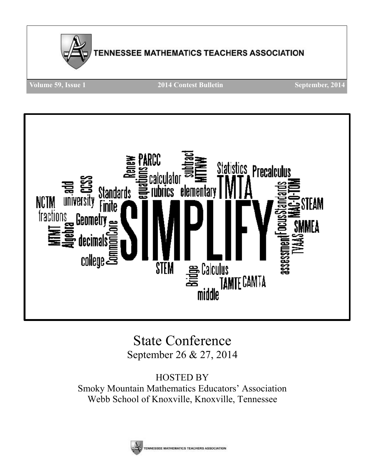



# State Conference September 26 & 27, 2014

HOSTED BY Smoky Mountain Mathematics Educators' Association Webb School of Knoxville, Knoxville, Tennessee

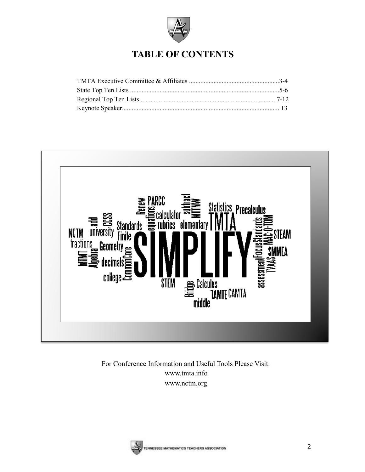

## **TABLE OF CONTENTS**



## For Conference Information and Useful Tools Please Visit: www.tmta.info www.nctm.org

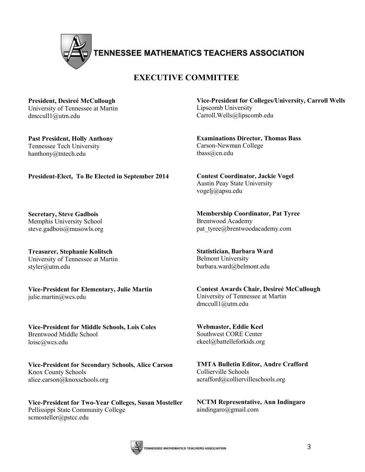

## **EXECUTIVE COMMITTEE**

**President, Desireé McCullough** University of Tennessee at Martin dmccull1@utm.edu

**Past President, Holly Anthony** Tennessee Tech University hanthony@tntech.edu

#### **President-Elect, To Be Elected in September 2014**

**Secretary, Steve Gadbois** Memphis University School steve.gadbois@musowls.org

**Treasurer, Stephanie Kolitsch** University of Tennessee at Martin styler@utm.edu

**Vice-President for Elementary, Julie Martin** julie.martin@wcs.edu

**Vice-President for Middle Schools, Lois Coles** Brentwood Middle School loisc@wcs.edu

**Vice-President for Secondary Schools, Alice Carson** Knox County Schools alice.carson@knoxschools.org

**Vice-President for Two-Year Colleges, Susan Mosteller** Pellissippi State Community College scmosteller@pstcc.edu

**Vice-President for Colleges/University, Carroll Wells** Lipscomb University Carroll.Wells@lipscomb.edu

**Examinations Director, Thomas Bass** Carson-Newman College tbass@cn.edu

**Contest Coordinator, Jackie Vogel** Austin Peay State University vogelj@apsu.edu

**Membership Coordinator, Pat Tyree** Brentwood Academy pat\_tyree@brentwoodacademy.com

**Statistician, Barbara Ward** Belmont University barbara.ward@belmont.edu

**Contest Awards Chair, Desireé McCullough** University of Tennessee at Martin dmccull1@utm.edu

**Webmaster, Eddie Keel** Southwest CORE Center ekeel@battelleforkids.org

**TMTA Bulletin Editor, Andre Crafford** Collierville Schools acrafford@colliervilleschools.org

**NCTM Representative, Ann Indingaro** aindingaro@gmail.com

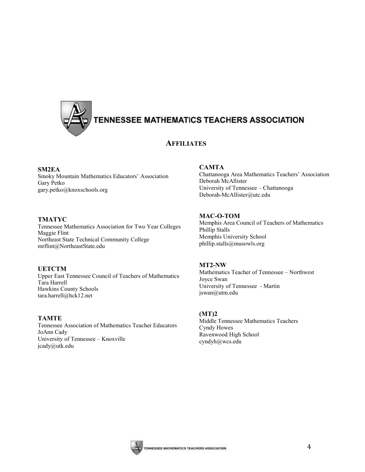

## **AFFILIATES**

**SM2EA** Smoky Mountain Mathematics Educators' Association Gary Petko gary.petko@knoxschools.org

#### **TMATYC**

Tennessee Mathematics Association for Two Year Colleges Maggie Flint Northeast State Technical Community College mrflint@NortheastState.edu

#### **UETCTM**

Upper East Tennessee Council of Teachers of Mathematics Tara Harrell Hawkins County Schools tara.harrell@hck12.net

#### **TAMTE**

Tennessee Association of Mathematics Teacher Educators JoAnn Cady University of Tennessee – Knoxville jcady@utk.edu

#### **CAMTA**

Chattanooga Area Mathematics Teachers' Association Deborah McAllister University of Tennessee – Chattanooga Deborah-McAllister@utc.edu

#### **MAC-O-TOM**

Memphis Area Council of Teachers of Mathematics Phillip Stalls Memphis University School phillip.stalls@musowls.org

#### **MT2-NW**

Mathematics Teacher of Tennessee – Northwest Joyce Swan University of Tennessee - Martin jswan@utm.edu

#### **(MT)2**

Middle Tennessee Mathematics Teachers Cyndy Howes Ravenwood High School cyndyh@wcs.edu

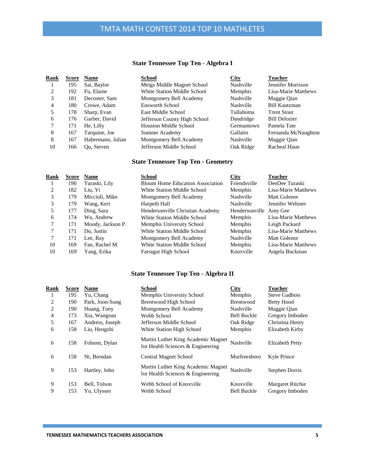## **State Tennessee Top Ten - Algebra I**

| Rank | Score | <b>Name</b>       | School                       | <b>City</b>      | Teacher              |
|------|-------|-------------------|------------------------------|------------------|----------------------|
|      | 195   | Sai, Baylor       | Meigs Middle Magnet School   | <b>Nashville</b> | Jennifer Morrison    |
| 2    | 192   | Fu, Elaine        | White Station Middle School  | <b>Memphis</b>   | Lisa-Marie Matthews  |
| 3    | 181   | Decoster, Sam     | Montgomery Bell Academy      | Nashville        | Maggie Qian          |
| 4    | 180   | Crowe, Adam       | Ensworth School              | Nashville        | Bill Kautzman        |
|      | 178   | Sharp, Evan       | East Middle School           | Tullahoma        | <b>Trent Stout</b>   |
| 6    | 176   | Garber, David     | Jefferson County High School | Dandridge        | <b>Bill Delozier</b> |
|      | 171   | He, Lilly         | <b>Houston Middle School</b> | Germantown       | Pamela Tate          |
| 8    | 167   | Tarquine, Joe     | Sumner Academy               | <b>Gallatin</b>  | Fernanda McNaughton  |
| 8    | 167   | Habermann, Julian | Montgomery Bell Academy      | Nashville        | Maggie Qian          |
| 10   | 166   | Ou. Steven        | Jefferson Middle School      | Oak Ridge        | Racheal Haun         |

## **State Tennessee Top Ten - Geometry**

| Rank | <b>Score</b> | <b>Name</b>       | <b>School</b>                            | City           | <b>Teacher</b>      |
|------|--------------|-------------------|------------------------------------------|----------------|---------------------|
|      | 190          | Turaski, Lily     | <b>Blount Home Education Association</b> | Friendsville   | DeeDee Turaski      |
| 2    | 182          | Liu. Yi           | White Station Middle School              | <b>Memphis</b> | Lisa-Marie Matthews |
| 3    | 179          | Miccioli, Mike    | Montgomery Bell Academy                  | Nashville      | Matt Golenor        |
| 3    | 179          | Wang, Keri        | Harpeth Hall                             | Nashville      | Jennifer Webster    |
| 5    | 177          | Ding, Sara        | Hendersonville Christian Academy         | Hendersonville | Amy Gee             |
| 6    | 174          | Wu, Andrew        | White Station Middle School              | <b>Memphis</b> | Lisa-Marie Matthews |
|      | 171          | Moody, Jackson P. | Memphis University School                | <b>Memphis</b> | Leigh Packard       |
|      | 171          | Du. Justin        | White Station Middle School              | <b>Memphis</b> | Lisa-Marie Matthews |
|      | 171          | Lee, Ray          | Montgomery Bell Academy                  | Nashville      | Matt Golenor        |
| 10   | 169          | Fan, Rachel M.    | White Station Middle School              | Memphis        | Lisa-Marie Matthews |
| 10   | 169          | Yang, Erika       | <b>Farragut High School</b>              | Knoxville      | Angela Buckman      |

## **State Tennessee Top Ten - Algebra II**

| Rank                          | <b>Score</b> | <b>Name</b>                 | <b>School</b>                                                           | <b>City</b>                     | <b>Teacher</b>                      |
|-------------------------------|--------------|-----------------------------|-------------------------------------------------------------------------|---------------------------------|-------------------------------------|
| 1                             | 195          | Yu, Chang                   | Memphis University School                                               | Memphis                         | Steve Gadbois                       |
| 2                             | 190          | Park, Joon-Sung             | <b>Brentwood High School</b>                                            | <b>Brentwood</b>                | Betty Hood                          |
| $\mathfrak{D}_{\mathfrak{p}}$ | 190          | Huang, Tony                 | Montgomery Bell Academy                                                 | Nashville                       | Maggie Qian                         |
| 4                             | 173          | Xia, Wangsun                | Webb School                                                             | <b>Bell Buckle</b>              | Gregory Imboden                     |
| 5                             | 167          | Andress, Joseph             | Jefferson Middle School                                                 | Oak Ridge                       | Christina Henry                     |
| 6                             | 158          | Liu, Hengzhi                | White Station High School                                               | Memphis                         | Elizabeth Kirby                     |
| 6                             | 158          | Folsom, Dylan               | Martin Luther King Academic Magnet<br>for Health Sciences & Engineering | Nashville                       | Elizabeth Petty                     |
| 6                             | 158          | Ni, Brendan                 | <b>Central Magnet School</b>                                            | Murfreesboro                    | Kyle Prince                         |
| 9                             | 153          | Hartley, John               | Martin Luther King Academic Magnet<br>for Health Sciences & Engineering | Nashville                       | Stephen Dorris                      |
| 9<br>9                        | 153<br>153   | Bell, Tolson<br>Yu, Ulysses | Webb School of Knoxville<br>Webb School                                 | Knoxville<br><b>Bell Buckle</b> | Margaret Ritchie<br>Gregory Imboden |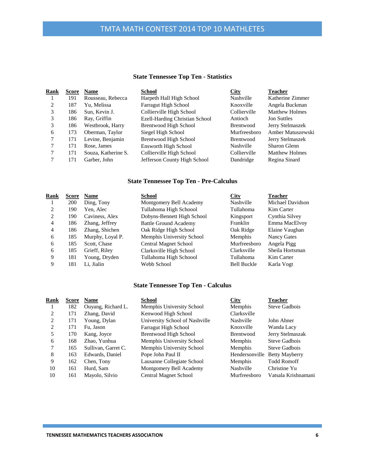## **State Tennessee Top Ten - Statistics**

| Rank | Score | <b>Name</b>         | School                         | <b>City</b>      | <b>Teacher</b>        |
|------|-------|---------------------|--------------------------------|------------------|-----------------------|
|      | 191   | Rousseau, Rebecca   | Harpeth Hall High School       | Nashville        | Katherine Zimmer      |
| 2    | 187   | Yu, Melissa         | Farragut High School           | Knoxville        | Angela Buckman        |
| 3    | 186   | Sun. Kevin J.       | Collierville High School       | Collierville     | <b>Matthew Holmes</b> |
| 3    | 186   | Ray, Griffin        | Ezell-Harding Christian School | Antioch          | <b>Jon Suttles</b>    |
| 3    | 186   | Westbrook, Harry    | <b>Brentwood High School</b>   | <b>Brentwood</b> | Jerry Stelmaszek      |
| 6    | 173   | Oberman, Taylor     | Siegel High School             | Murfreesboro     | Amber Matuszewski     |
|      | 171   | Levine, Benjamin    | <b>Brentwood High School</b>   | <b>Brentwood</b> | Jerry Stelmaszek      |
|      | 171   | Rose, James         | <b>Ensworth High School</b>    | <b>Nashville</b> | Sharon Glenn          |
|      | 171   | Souza, Katherine S. | Collierville High School       | Collierville     | <b>Matthew Holmes</b> |
|      | 171   | Garber, John        | Jefferson County High School   | Dandridge        | Regina Sinard         |
|      |       |                     |                                |                  |                       |

## **State Tennessee Top Ten - Pre-Calculus**

| Rank           | Score | <b>Name</b>      | <b>School</b>                | <b>City</b>        | <b>Teacher</b>   |
|----------------|-------|------------------|------------------------------|--------------------|------------------|
|                | 200   | Ding, Tony       | Montgomery Bell Academy      | Nashville          | Michael Davidson |
| 2              | 190   | Yen, Alec        | Tullahoma High Schoool       | Tullahoma          | Kim Carter       |
| $\mathfrak{D}$ | 190   | Caviness, Alex   | Dobyns-Bennett High School   | Kingsport          | Cynthia Silvey   |
| 4              | 186   | Zhang, Jeffrey   | <b>Battle Ground Academy</b> | Franklin           | Emma MacElvoy    |
| 4              | 186   | Zhang, Shichen   | Oak Ridge High School        | Oak Ridge          | Elaine Vaughan   |
| 6              | 185   | Murphy, Loyal P. | Memphis University School    | <b>Memphis</b>     | Nancy Gates      |
| 6              | 185   | Scott, Chase     | <b>Central Magnet School</b> | Murfreesboro       | Angela Pigg      |
| 6              | 185   | Grieff, Riley    | Clarksville High School      | Clarksville        | Sheila Hortsman  |
| 9              | 181   | Young, Dryden    | Tullahoma High Schoool       | Tullahoma          | Kim Carter       |
| 9              | 181   | Li. Jialin       | Webb School                  | <b>Bell Buckle</b> | Karla Vogt       |
|                |       |                  |                              |                    |                  |

#### **State Tennessee Top Ten - Calculus**

| Rank | Score | <b>Name</b>         | <b>School</b>                  | <b>City</b>      | <b>Teacher</b>        |
|------|-------|---------------------|--------------------------------|------------------|-----------------------|
|      | 182   | Ouyang, Richard L.  | Memphis University School      | Memphis          | Steve Gadbois         |
| 2    | 171   | Zhang, David        | Kenwood High School            | Clarksville      |                       |
| 2    | 171   | Young, Dylan        | University School of Nashville | <b>Nashville</b> | John Ahner            |
| 2    | 171   | Fu. Jason           | Farragut High School           | Knoxville        | Wanda Lacy            |
|      | 170   | Kang, Joyce         | Brentwood High School          | <b>Brentwood</b> | Jerry Stelmaszak      |
| 6    | 168   | Zhao, Yunhua        | Memphis University School      | <b>Memphis</b>   | Steve Gadbois         |
|      | 165   | Sullivan, Garret C. | Memphis University School      | <b>Memphis</b>   | Steve Gadbois         |
| 8    | 163   | Edwards, Daniel     | Pope John Paul II              | Hendersonville   | <b>Betty Mayberry</b> |
| 9    | 162   | Chen, Tony          | Lausanne Collegiate School     | <b>Memphis</b>   | <b>Todd Romoff</b>    |
| 10   | 161   | Hurd, Sam           | Montgomery Bell Academy        | Nashville        | Christine Yu          |
| 10   | 161   | Mayolo, Silvio      | <b>Central Magnet School</b>   | Murfreesboro     | Vatsala Krishnamani   |
|      |       |                     |                                |                  |                       |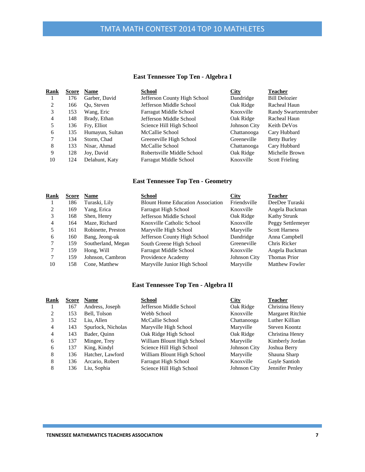## **East Tennessee Top Ten - Algebra I**

| Rank           | Score | <b>Name</b>     | <b>School</b>                 | <b>City</b>  | <b>Teacher</b>        |
|----------------|-------|-----------------|-------------------------------|--------------|-----------------------|
|                | 176   | Garber, David   | Jefferson County High School  | Dandridge    | <b>Bill Delozier</b>  |
| $\overline{c}$ | 166   | Ou, Steven      | Jefferson Middle School       | Oak Ridge    | Racheal Haun          |
| 3              | 153   | Wang, Eric      | <b>Farragut Middle School</b> | Knoxville    | Randy Swartzentruber  |
| 4              | 148   | Brady, Ethan    | Jefferson Middle School       | Oak Ridge    | Racheal Haun          |
|                | 136   | Fry, Elliot     | Science Hill High School      | Johnson City | Keith DeVos           |
| 6              | 135   | Humayun, Sultan | McCallie School               | Chattanooga  | Cary Hubbard          |
|                | 134   | Storm, Chad     | Greeneville High School       | Greeneville  | <b>Betty Burley</b>   |
| 8              | 133   | Nisar, Ahmad    | McCallie School               | Chattanooga  | Cary Hubbard          |
| 9              | 128   | Joy, David      | Robertsville Middle School    | Oak Ridge    | Michelle Brown        |
| 10             | 124   | Delahunt, Katy  | Farragut Middle School        | Knoxville    | <b>Scott Frieling</b> |
|                |       |                 |                               |              |                       |

## **East Tennessee Top Ten - Geometry**

| Rank | <b>Score</b> | <b>Name</b>        | School                                   | <b>City</b>  | <b>Teacher</b>        |
|------|--------------|--------------------|------------------------------------------|--------------|-----------------------|
|      | 186          | Turaski, Lily      | <b>Blount Home Education Association</b> | Friendsville | DeeDee Turaski        |
| 2    | 169          | Yang, Erica        | <b>Farragut High School</b>              | Knoxville    | Angela Buckman        |
| 3    | 168          | Shen, Henry        | Jefferson Middle School                  | Oak Ridge    | Kathy Strunk          |
| 4    | 164          | Maze, Richard      | Knoxville Catholic School                | Knoxville    | Peggy Settlemeyer     |
| 5    | 161          | Robinette, Preston | Maryville High School                    | Maryville    | <b>Scott Harness</b>  |
| 6    | 160          | Bang, Jeong-uk     | Jefferson County High School             | Dandridge    | Anna Campbell         |
|      | 159          | Southerland, Megan | South Greene High School                 | Greeneville  | Chris Ricker          |
| 7    | 159          | Hong, Will         | Farragut Middle School                   | Knoxville    | Angela Buckman        |
|      | 159          | Johnson, Cambron   | Providence Academy                       | Johnson City | <b>Thomas Prior</b>   |
| 10   | 158          | Cone, Matthew      | Maryville Junior High School             | Maryville    | <b>Matthew Fowler</b> |
|      |              |                    |                                          |              |                       |

#### **East Tennessee Top Ten - Algebra II**

| Rank | Score | <b>Name</b>        | School                      | <b>City</b>  | <b>Teacher</b>   |
|------|-------|--------------------|-----------------------------|--------------|------------------|
|      | 167   | Andress, Joseph    | Jefferson Middle School     | Oak Ridge    | Christina Henry  |
| 2    | 153   | Bell, Tolson       | Webb School                 | Knoxville    | Margaret Ritchie |
| 3    | 152   | Liu. Allen         | McCallie School             | Chattanooga  | Luther Killian   |
| 4    | 143   | Spurlock, Nicholas | Maryville High School       | Maryville    | Steven Koontz    |
| 4    | 143   | Bader, Quinn       | Oak Ridge High School       | Oak Ridge    | Christina Henry  |
| 6    | 137   | Mingee, Trey       | William Blount High School  | Maryville    | Kimberly Jordan  |
| 6    | 137   | King, Kindyl       | Science Hill High School    | Johnson City | Joshua Berry     |
| 8    | 136   | Hatcher, Lawford   | William Blount High School  | Maryville    | Shauna Sharp     |
| 8    | 136   | Arcario, Robert    | <b>Farragut High School</b> | Knoxville    | Gayle Santioh    |
| 8    | 136   | Liu, Sophia        | Science Hill High School    | Johnson City | Jennifer Penley  |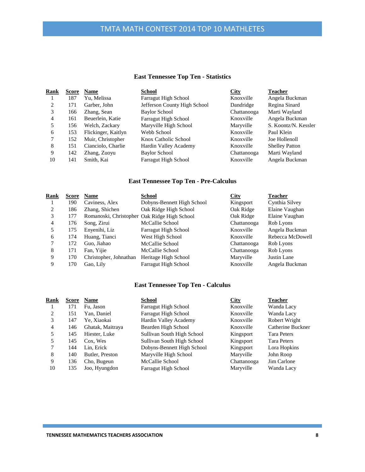## **East Tennessee Top Ten - Statistics**

| Rank | <b>Score</b> | <b>Name</b>         | <b>School</b>                | City        | <b>Teacher</b>        |
|------|--------------|---------------------|------------------------------|-------------|-----------------------|
|      | 187          | Yu, Melissa         | <b>Farragut High School</b>  | Knoxville   | Angela Buckman        |
| 2    | 171          | Garber, John        | Jefferson County High School | Dandridge   | Regina Sinard         |
| 3    | 166          | Zhang, Sean         | <b>Baylor School</b>         | Chattanooga | Marti Wayland         |
| 4    | 161          | Beuerlein, Katie    | Farragut High School         | Knoxville   | Angela Buckman        |
|      | 156          | Welch, Zackary      | Maryville High School        | Maryville   | S. Koontz/N. Kessler  |
| 6    | 153          | Flickinger, Kaitlyn | Webb School                  | Knoxville   | Paul Klein            |
|      | 152          | Muir, Christopher   | Knox Catholic School         | Knoxville   | Joe Hollenoll         |
| 8    | 151          | Cianciolo, Charlie  | Hardin Valley Academy        | Knoxville   | <b>Shelley Patton</b> |
| 9    | 142          | Zhang, Zuoyu        | <b>Baylor School</b>         | Chattanooga | Marti Wayland         |
| 10   | 141          | Smith, Kai          | Farragut High School         | Knoxville   | Angela Buckman        |
|      |              |                     |                              |             |                       |

## **East Tennessee Top Ten - Pre-Calculus**

| Rank | Score | <b>Name</b>            | <b>School</b>                                | <b>City</b> | <b>Teacher</b>   |
|------|-------|------------------------|----------------------------------------------|-------------|------------------|
|      | 190   | Caviness, Alex         | Dobyns-Bennett High School                   | Kingsport   | Cynthia Silvey   |
| 2    | 186   | Zhang, Shichen         | Oak Ridge High School                        | Oak Ridge   | Elaine Vaughan   |
| 3    | 177   |                        | Romanoski, Christopher Oak Ridge High School | Oak Ridge   | Elaine Vaughan   |
| 4    | 176   | Song, Zirui            | McCallie School                              | Chattanooga | Rob Lyons        |
| 5    | 175   | Enyenihi, Liz          | <b>Farragut High School</b>                  | Knoxville   | Angela Buckman   |
| 6    | 174   | Huang, Tianci          | West High School                             | Knoxville   | Rebecca McDowell |
|      | 172.  | Guo, Jiahao            | McCallie School                              | Chattanooga | Rob Lyons        |
| 8    | 171   | Fan, Yijie             | McCallie School                              | Chattanooga | Rob Lyons        |
| 9    | 170   | Christopher, Johnathan | Heritage High School                         | Maryville   | Justin Lane      |
| 9    | 170   | Gao, Lily              | <b>Farragut High School</b>                  | Knoxville   | Angela Buckman   |

#### **East Tennessee Top Ten - Calculus**

| Rank | Score | <b>Name</b>      | <b>School</b>              | <b>City</b> | <b>Teacher</b>     |
|------|-------|------------------|----------------------------|-------------|--------------------|
|      | 171   | Fu, Jason        | Farragut High School       | Knoxville   | Wanda Lacy         |
| 2    | 151   | Yan, Daniel      | Farragut High School       | Knoxville   | Wanda Lacy         |
| 3    | 147   | Ye. Xiaokai      | Hardin Valley Academy      | Knoxville   | Robert Wright      |
| 4    | 146   | Ghatak, Maitraya | Bearden High School        | Knoxville   | Catherine Buckner  |
| 5    | 145   | Hiester, Luke    | Sullivan South High School | Kingsport   | <b>Tara Peters</b> |
|      | 145   | Cox. Wes         | Sullivan South High School | Kingsport   | <b>Tara Peters</b> |
|      | 144   | Lin. Erick       | Dobyns-Bennett High School | Kingsport   | Lora Hopkins       |
| 8    | 140   | Butler, Preston  | Maryville High School      | Maryville   | John Roop          |
| 9    | 136   | Cho, Bugeun      | McCallie School            | Chattanooga | Jim Carlone        |
| 10   | 135   | Joo, Hyungdon    | Farragut High School       | Maryville   | Wanda Lacy         |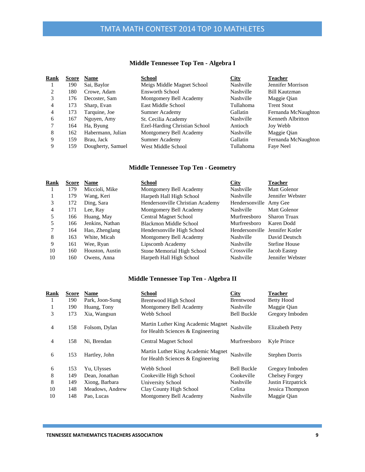## **Middle Tennessee Top Ten - Algebra I**

| Rank | Score | <b>Name</b>       | <b>School</b>                 | City             | <b>Teacher</b>       |
|------|-------|-------------------|-------------------------------|------------------|----------------------|
|      | 190   | Sai, Baylor       | Meigs Middle Magnet School    | <b>Nashville</b> | Jennifer Morrison    |
| 2    | 180   | Crowe, Adam       | Ensworth School               | Nashville        | <b>Bill Kautzman</b> |
| 3    | 176   | Decoster, Sam     | Montgomery Bell Academy       | <b>Nashville</b> | Maggie Qian          |
| 4    | 173   | Sharp, Evan       | East Middle School            | Tullahoma        | <b>Trent Stout</b>   |
| 4    | 173   | Tarquine, Joe     | Sumner Academy                | <b>Gallatin</b>  | Fernanda McNaughton  |
| 6    | 167   | Nguyen, Amy       | St. Cecilia Academy           | <b>Nashville</b> | Kenneth Albritton    |
|      | 164   | Ha, Byung         | Ezel-Harding Christian School | Antioch          | Joy Webb             |
| 8    | 162   | Habermann, Julian | Montgomery Bell Academy       | Nashville        | Maggie Qian          |
| 9    | 159   | Brau, Jack        | Sumner Academy                | <b>Gallatin</b>  | Fernanda McNaughton  |
| 9    | 159   | Dougherty, Samuel | West Middle School            | Tullahoma        | Fave Neel            |
|      |       |                   |                               |                  |                      |

## **Middle Tennessee Top Ten - Geometry**

| Rank | <b>Score</b> | <b>Name</b>     | <b>School</b>                    | City                           | <b>Teacher</b>       |
|------|--------------|-----------------|----------------------------------|--------------------------------|----------------------|
|      | 179          | Miccioli, Mike  | Montgomery Bell Academy          | Nashville                      | <b>Matt Golenor</b>  |
|      | 179          | Wang, Keri      | Harpeth Hall High School         | Nashville                      | Jennifer Webster     |
| 3    | 172          | Ding, Sara      | Hendersonville Christian Academy | Hendersonville                 | Amy Gee              |
| 4    | 171          | Lee, Ray        | Montgomery Bell Academy          | Nashville                      | Matt Golenor         |
| 5    | 166          | Huang, May      | <b>Central Magnet School</b>     | Murfreesboro                   | <b>Sharon Truax</b>  |
| 5    | 166          | Jenkins, Nathan | <b>Blackmon Middle School</b>    | <b>Murfreeshoro</b>            | Karen Dodd           |
|      | 164          | Hao, Zhenglang  | Hendersonville High School       | Hendersonville Jennifer Kotler |                      |
| 8    | 163          | White, Micah    | Montgomery Bell Academy          | Nashville                      | David Deutsch        |
| 9    | 161          | Wee, Ryan       | Lipscomb Academy                 | Nashville                      | <b>Stefine House</b> |
| 10   | 160          | Houston, Austin | Stone Memorial High School       | Crossville                     | Jacob Eastep         |
| 10   | 160          | Owens, Anna     | Harpeth Hall High School         | Nashville                      | Jennifer Webster     |

#### **Middle Tennessee Top Ten - Algebra II**

| Rank | <b>Score</b> | <b>Name</b>     | School                                                                  | <b>City</b>        | <b>Teacher</b>        |
|------|--------------|-----------------|-------------------------------------------------------------------------|--------------------|-----------------------|
| 1    | 190          | Park, Joon-Sung | <b>Brentwood High School</b>                                            | <b>Brentwood</b>   | Betty Hood            |
|      | 190          | Huang, Tony     | Montgomery Bell Academy                                                 | Nashville          | Maggie Qian           |
| 3    | 173          | Xia, Wangsun    | Webb School                                                             | <b>Bell Buckle</b> | Gregory Imboden       |
| 4    | 158          | Folsom, Dylan   | Martin Luther King Academic Magnet<br>for Health Sciences & Engineering | Nashville          | Elizabeth Petty       |
| 4    | 158          | Ni, Brendan     | <b>Central Magnet School</b>                                            | Murfreesboro       | Kyle Prince           |
| 6    | 153          | Hartley, John   | Martin Luther King Academic Magnet<br>for Health Sciences & Engineering | Nashville          | <b>Stephen Dorris</b> |
| 6    | 153          | Yu, Ulysses     | Webb School                                                             | <b>Bell Buckle</b> | Gregory Imboden       |
| 8    | 149          | Dean, Jonathan  | Cookeville High School                                                  | Cookeville         | <b>Chelsey Forgey</b> |
| 8    | 149          | Xiong, Barbara  | University School                                                       | Nashville          | Justin Fitzpatrick    |
| 10   | 148          | Meadows, Andrew | Clay County High School                                                 | Celina             | Jessica Thompson      |
| 10   | 148          | Pao, Lucas      | Montgomery Bell Academy                                                 | Nashville          | Maggie Qian           |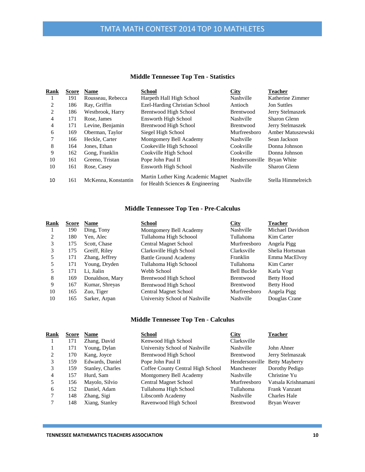## **Middle Tennessee Top Ten - Statistics**

| Rank | Score | <b>Name</b>         | School                                                                  | <b>City</b>      | <b>Teacher</b>     |
|------|-------|---------------------|-------------------------------------------------------------------------|------------------|--------------------|
|      | 191   | Rousseau, Rebecca   | Harpeth Hall High School                                                | <b>Nashville</b> | Katherine Zimmer   |
| 2    | 186   | Ray, Griffin        | Ezel-Harding Christian School                                           | Antioch          | <b>Jon Suttles</b> |
| 2    | 186   | Westbrook, Harry    | <b>Brentwood High School</b>                                            | <b>Brentwood</b> | Jerry Stelmaszek   |
| 4    | 171   | Rose, James         | <b>Ensworth High School</b>                                             | <b>Nashville</b> | Sharon Glenn       |
| 4    | 171   | Levine, Benjamin    | Brentwood High School                                                   | <b>Brentwood</b> | Jerry Stelmaszek   |
| 6    | 169   | Oberman, Taylor     | Siegel High School                                                      | Murfreesboro     | Amber Matuszewski  |
| 7    | 166   | Heckle, Carter      | Montgomery Bell Academy                                                 | <b>Nashville</b> | Sean Jackson       |
| 8    | 164   | Jones, Ethan        | Cookeville High Schoool                                                 | Cookville        | Donna Johnson      |
| 9    | 162   | Gong, Franklin      | Cookville High School                                                   | Cookville        | Donna Johnson      |
| 10   | 161   | Greeno, Tristan     | Pope John Paul II                                                       | Hendersonville   | Bryan White        |
| 10   | 161   | Rose, Casey         | Ensworth High School                                                    | <b>Nashville</b> | Sharon Glenn       |
| 10   | 161   | McKenna, Konstantin | Martin Luther King Academic Magnet<br>for Health Sciences & Engineering | Nashville        | Stella Himmelreich |

## **Middle Tennessee Top Ten - Pre-Calculus**

| Rank | Score | <b>Name</b>     | School                         | <b>City</b>         | <b>Teacher</b>    |
|------|-------|-----------------|--------------------------------|---------------------|-------------------|
|      | 190   | Ding, Tony      | Montgomery Bell Academy        | Nashville           | Michael Davidson  |
| 2    | 180   | Yen, Alec       | Tullahoma High Schoool         | Tullahoma           | Kim Carter        |
| 3    | 175   | Scott, Chase    | <b>Central Magnet School</b>   | <b>Murfreesboro</b> | Angela Pigg       |
| 3    | 175   | Greiff, Riley   | Clarksville High School        | Clarksville         | Shelia Hortsman   |
| 5    | 171   | Zhang, Jeffrey  | <b>Battle Ground Academy</b>   | Franklin            | Emma MacElvoy     |
| 5    | 171   | Young, Dryden   | Tullahoma High Schoool         | Tullahoma           | Kim Carter        |
|      | 171   | Li. Jialin      | Webb School                    | <b>Bell Buckle</b>  | Karla Vogt        |
| 8    | 169   | Donaldson, Mary | Brentwood High School          | <b>Brentwood</b>    | <b>Betty Hood</b> |
| 9    | 167   | Kumar, Shreyas  | <b>Brentwood High School</b>   | <b>Brentwood</b>    | <b>Betty Hood</b> |
| 10   | 165   | Zuo, Tiger      | <b>Central Magnet School</b>   | Murfreesboro        | Angela Pigg       |
| 10   | 165   | Sarker, Arpan   | University School of Nashville | <b>Nashville</b>    | Douglas Crane     |
|      |       |                 |                                |                     |                   |

## **Middle Tennessee Top Ten - Calculus**

| Rank | <b>Score</b> | <b>Name</b>      | <b>School</b>                     | City             | <b>Teacher</b>                |
|------|--------------|------------------|-----------------------------------|------------------|-------------------------------|
|      | 171          | Zhang, David     | Kenwood High School               | Clarksville      |                               |
|      | 171          | Young, Dylan     | University School of Nashville    | <b>Nashville</b> | John Ahner                    |
| 2    | 170          | Kang, Joyce      | Brentwood High School             | Brentwood        | Jerry Stelmaszak              |
| 3    | 159          | Edwards, Daniel  | Pope John Paul II                 |                  | Hendersonville Betty Mayberry |
| 3    | 159          | Stanley, Charles | Coffee County Central High School | Manchester       | Dorothy Pedigo                |
| 4    | 157          | Hurd, Sam        | Montgomery Bell Academy           | <b>Nashville</b> | Christine Yu                  |
| 5    | 156          | Mayolo, Silvio   | <b>Central Magnet School</b>      | Murfreesboro     | Vatsala Krishnamani           |
| 6    | 152          | Daniel, Adam     | Tullahoma High School             | Tullahoma        | Frank Vanzant                 |
|      | 148          | Zhang, Sigi      | Libscomb Academy                  | <b>Nashville</b> | Charles Hale                  |
|      | 148          | Xiang, Stanley   | Ravenwood High School             | <b>Brentwood</b> | Bryan Weaver                  |
|      |              |                  |                                   |                  |                               |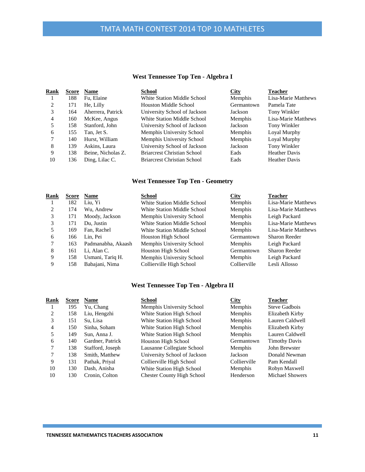## **West Tennessee Top Ten - Algebra I**

| Rank | <b>Score</b> | <b>Name</b>        | <b>School</b>                      | City           | <b>Teacher</b>       |
|------|--------------|--------------------|------------------------------------|----------------|----------------------|
|      | 188          | Fu, Elaine         | White Station Middle School        | <b>Memphis</b> | Lisa-Marie Matthews  |
| 2    | 171          | He, Lilly          | Houston Middle School              | Germantown     | Pamela Tate          |
| 3    | 164          | Aherrera, Patrick  | University School of Jackson       | Jackson        | Tony Winkler         |
| 4    | 160          | McKee, Angus       | White Station Middle School        | <b>Memphis</b> | Lisa-Marie Matthews  |
|      | 158          | Stanford, John     | University School of Jackson       | Jackson        | Tony Winkler         |
| 6    | 155          | Tan. Jet S.        | Memphis University School          | <b>Memphis</b> | Loyal Murphy         |
|      | 140          | Hurst, William     | Memphis University School          | <b>Memphis</b> | Loyal Murphy         |
| 8    | 139          | Askins, Laura      | University School of Jackson       | Jackson        | Tony Winkler         |
| 9    | 138          | Beine, Nicholas Z. | <b>Briarcrest Christian School</b> | Eads           | <b>Heather Davis</b> |
| 10   | 136          | Ding, Lilac C.     | <b>Briarcrest Christian School</b> | Eads           | <b>Heather Davis</b> |
|      |              |                    |                                    |                |                      |

## **West Tennessee Top Ten - Geometry**

| Rank | <b>Score</b> | Name               | <b>School</b>               | City           | <b>Teacher</b>       |
|------|--------------|--------------------|-----------------------------|----------------|----------------------|
|      | 182          | Liu. Yi            | White Station Middle School | <b>Memphis</b> | Lisa-Marie Matthews  |
| 2    | 174          | Wu. Andrew         | White Station Middle School | <b>Memphis</b> | Lisa-Marie Matthews  |
| 3    | 171          | Moody, Jackson     | Memphis University School   | Memphis        | Leigh Packard        |
| 3    | 171          | Du. Justin         | White Station Middle School | <b>Memphis</b> | Lisa-Marie Matthews  |
|      | 169          | Fan, Rachel        | White Station Middle School | <b>Memphis</b> | Lisa-Marie Matthews  |
| 6    | 166          | Lin. Pei           | <b>Houston High School</b>  | Germantown     | Sharon Reeder        |
|      | 163          | Padmanabha, Akaash | Memphis University School   | <b>Memphis</b> | Leigh Packard        |
| 8    | 161          | Li. Alan C.        | Houston High School         | Germantown     | <b>Sharon Reeder</b> |
| 9    | 158          | Usmani, Tariq H.   | Memphis University School   | Memphis        | Leigh Packard        |
| 9    | 158          | Babajani, Nima     | Collierville High School    | Collierville   | Lesli Allosso        |
|      |              |                    |                             |                |                      |

#### **West Tennessee Top Ten - Algebra II**

| Rank | Score | <b>Name</b>      | <b>School</b>                     | <b>City</b>    | <b>Teacher</b>       |
|------|-------|------------------|-----------------------------------|----------------|----------------------|
|      | 195   | Yu, Chang        | Memphis University School         | Memphis        | Steve Gadbois        |
| 2    | 158   | Liu, Hengzhi     | White Station High School         | <b>Memphis</b> | Elizabeth Kirby      |
| 3    | 151   | Su. Lisa         | White Station High School         | <b>Memphis</b> | Lauren Caldwell      |
| 4    | 150   | Sinha, Soham     | White Station High School         | <b>Memphis</b> | Elizabeth Kirby      |
| 5    | 149   | Sun. Anna J.     | White Station High School         | <b>Memphis</b> | Lauren Caldwell      |
| 6    | 140   | Gardner, Patrick | <b>Houston High School</b>        | Germantown     | <b>Timothy Davis</b> |
|      | 138   | Stafford, Joseph | Lausanne Collegiate School        | <b>Memphis</b> | John Brewster        |
|      | 138   | Smith, Matthew   | University School of Jackson      | Jackson        | Donald Newman        |
| 9    | 131   | Pathak, Priyal   | Collierville High School          | Collierville   | Pam Kendall          |
| 10   | 130   | Dash, Anisha     | White Station High School         | <b>Memphis</b> | Robyn Maxwell        |
| 10   | 130   | Cronin, Colton   | <b>Chester County High School</b> | Henderson      | Michael Showers      |
|      |       |                  |                                   |                |                      |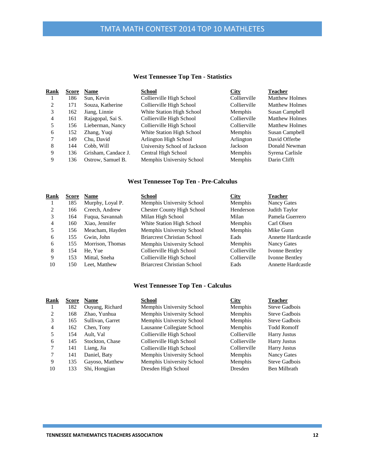## **West Tennessee Top Ten - Statistics**

| Rank | <b>Score</b> | <b>Name</b>         | School                       | City           | <b>Teacher</b>        |
|------|--------------|---------------------|------------------------------|----------------|-----------------------|
|      | 186          | Sun, Kevin          | Collierville High School     | Collierville   | <b>Matthew Holmes</b> |
| 2    | 171          | Souza, Katherine    | Collierville High School     | Collierville   | <b>Matthew Holmes</b> |
| 3    | 162          | Jiang, Linnie       | White Station High School    | <b>Memphis</b> | Susan Campbell        |
| 4    | 161          | Rajagopal, Sai S.   | Collierville High School     | Collierville   | <b>Matthew Holmes</b> |
| 5.   | 156          | Lieberman, Nancy    | Collierville High School     | Collierville   | <b>Matthew Holmes</b> |
| 6    | 152          | Zhang, Yuqi         | White Station High School    | <b>Memphis</b> | Susan Campbell        |
|      | 149          | Chu, David          | Arlington High School        | Arlington      | David Offerbe         |
| 8    | 144          | Cobb. Will          | University School of Jackson | Jackson        | Donald Newman         |
| 9    | 136          | Grisham, Candace J. | Central High School          | <b>Memphis</b> | Syrena Carlisle       |
| 9    | 136          | Ostrow, Samuel B.   | Memphis University School    | <b>Memphis</b> | Darin Clifft          |
|      |              |                     |                              |                |                       |

## **West Tennessee Top Ten - Pre-Calculus**

| Rank | Score | <b>Name</b>      | School                             | City           | <b>Teacher</b>     |
|------|-------|------------------|------------------------------------|----------------|--------------------|
|      | 185   | Murphy, Loyal P. | Memphis University School          | <b>Memphis</b> | Nancy Gates        |
| 2    | 166   | Creech, Andrew   | <b>Chester County High School</b>  | Henderson      | Judith Taylor      |
| 3    | 164   | Fugua, Savannah  | Milan High School                  | Milan          | Pamela Guerrero    |
| 4    | 160   | Xiao, Jennifer   | White Station High School          | <b>Memphis</b> | Carl Olsen         |
| 5    | 156   | Meacham, Hayden  | Memphis University School          | <b>Memphis</b> | Mike Gunn          |
| 6    | 155   | Gwin. John       | <b>Briarcrest Christian School</b> | Eads           | Annette Hardcastle |
| 6    | 155   | Morrison, Thomas | Memphis University School          | <b>Memphis</b> | Nancy Gates        |
| 8    | 154   | He. Yue          | Collierville High School           | Collierville   | Ivonne Bentley     |
| 9    | 153   | Mittal, Sneha    | Collierville High School           | Collierville   | Ivonne Bentley     |
| 10   | 150   | Leet. Matthew    | <b>Briarcrest Christian School</b> | Eads           | Annette Hardcastle |
|      |       |                  |                                    |                |                    |

#### **West Tennessee Top Ten - Calculus**

| Rank           | <u>Score</u> | <b>Name</b>      | <b>School</b>              | <b>City</b>    | <b>Teacher</b>       |
|----------------|--------------|------------------|----------------------------|----------------|----------------------|
|                | 182          | Ouyang, Richard  | Memphis University School  | <b>Memphis</b> | <b>Steve Gadbois</b> |
| $\mathfrak{D}$ | 168          | Zhao, Yunhua     | Memphis University School  | <b>Memphis</b> | <b>Steve Gadbois</b> |
| 3              | 165          | Sullivan, Garret | Memphis University School  | <b>Memphis</b> | <b>Steve Gadbois</b> |
| 4              | 162          | Chen, Tony       | Lausanne Collegiate School | Memphis        | <b>Todd Romoff</b>   |
| 5.             | 154          | Ault. Val        | Collierville High School   | Collierville   | <b>Harry Justus</b>  |
| 6              | 145          | Stockton, Chase  | Collierville High School   | Collierville   | <b>Harry Justus</b>  |
|                | 141          | Liang, Jia       | Collierville High School   | Collierville   | <b>Harry Justus</b>  |
|                | 141          | Daniel, Baty     | Memphis University School  | <b>Memphis</b> | Nancy Gates          |
| 9              | 135          | Gayoso, Matthew  | Memphis University School  | <b>Memphis</b> | <b>Steve Gadbois</b> |
| 10             | 133          | Shi, Hongjian    | Dresden High School        | <b>Dresden</b> | Ben Milbrath         |